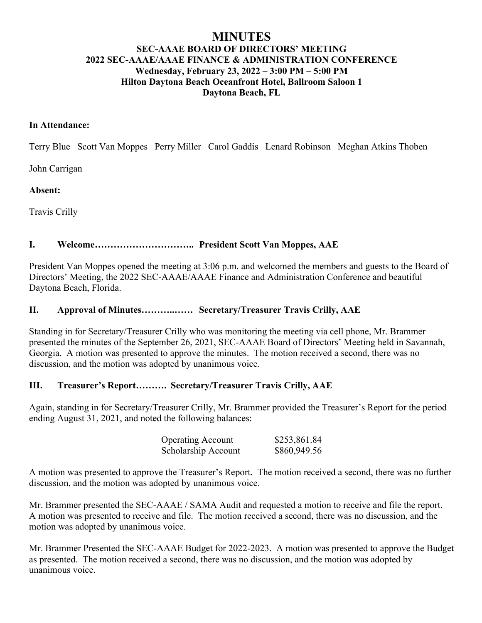# **MINUTES SEC-AAAE BOARD OF DIRECTORS' MEETING 2022 SEC-AAAE/AAAE FINANCE & ADMINISTRATION CONFERENCE Wednesday, February 23, 2022 – 3:00 PM – 5:00 PM Hilton Daytona Beach Oceanfront Hotel, Ballroom Saloon 1 Daytona Beach, FL**

#### **In Attendance:**

Terry Blue Scott Van Moppes Perry Miller Carol Gaddis Lenard Robinson Meghan Atkins Thoben

John Carrigan

**Absent:**

Travis Crilly

### **I. Welcome………………………….. President Scott Van Moppes, AAE**

President Van Moppes opened the meeting at 3:06 p.m. and welcomed the members and guests to the Board of Directors' Meeting, the 2022 SEC-AAAE/AAAE Finance and Administration Conference and beautiful Daytona Beach, Florida.

#### **II. Approval of Minutes………..…… Secretary/Treasurer Travis Crilly, AAE**

Standing in for Secretary/Treasurer Crilly who was monitoring the meeting via cell phone, Mr. Brammer presented the minutes of the September 26, 2021, SEC-AAAE Board of Directors' Meeting held in Savannah, Georgia. A motion was presented to approve the minutes. The motion received a second, there was no discussion, and the motion was adopted by unanimous voice.

#### **III. Treasurer's Report………. Secretary/Treasurer Travis Crilly, AAE**

Again, standing in for Secretary/Treasurer Crilly, Mr. Brammer provided the Treasurer's Report for the period ending August 31, 2021, and noted the following balances:

| <b>Operating Account</b> | \$253,861.84 |
|--------------------------|--------------|
| Scholarship Account      | \$860,949.56 |

A motion was presented to approve the Treasurer's Report. The motion received a second, there was no further discussion, and the motion was adopted by unanimous voice.

Mr. Brammer presented the SEC-AAAE / SAMA Audit and requested a motion to receive and file the report. A motion was presented to receive and file. The motion received a second, there was no discussion, and the motion was adopted by unanimous voice.

Mr. Brammer Presented the SEC-AAAE Budget for 2022-2023. A motion was presented to approve the Budget as presented. The motion received a second, there was no discussion, and the motion was adopted by unanimous voice.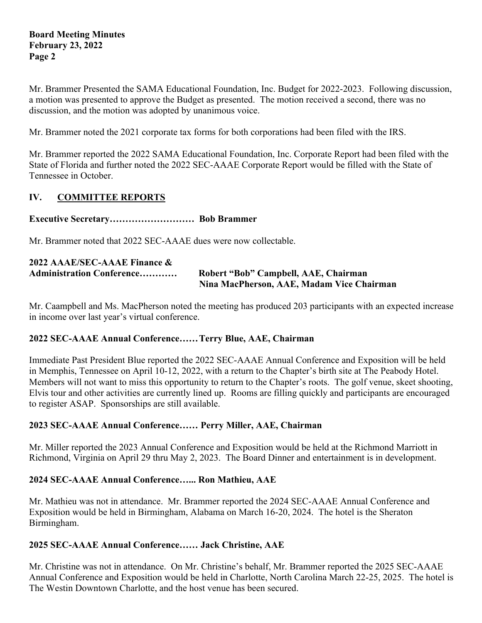Mr. Brammer Presented the SAMA Educational Foundation, Inc. Budget for 2022-2023. Following discussion, a motion was presented to approve the Budget as presented. The motion received a second, there was no discussion, and the motion was adopted by unanimous voice.

Mr. Brammer noted the 2021 corporate tax forms for both corporations had been filed with the IRS.

Mr. Brammer reported the 2022 SAMA Educational Foundation, Inc. Corporate Report had been filed with the State of Florida and further noted the 2022 SEC-AAAE Corporate Report would be filled with the State of Tennessee in October.

# **IV. COMMITTEE REPORTS**

# **Executive Secretary……………………… Bob Brammer**

Mr. Brammer noted that 2022 SEC-AAAE dues were now collectable.

| 2022 AAAE/SEC-AAAE Finance &     |                                           |
|----------------------------------|-------------------------------------------|
| <b>Administration Conference</b> | Robert "Bob" Campbell, AAE, Chairman      |
|                                  | Nina MacPherson, AAE, Madam Vice Chairman |

Mr. Caampbell and Ms. MacPherson noted the meeting has produced 203 participants with an expected increase in income over last year's virtual conference.

# **2022 SEC-AAAE Annual Conference……Terry Blue, AAE, Chairman**

Immediate Past President Blue reported the 2022 SEC-AAAE Annual Conference and Exposition will be held in Memphis, Tennessee on April 10-12, 2022, with a return to the Chapter's birth site at The Peabody Hotel. Members will not want to miss this opportunity to return to the Chapter's roots. The golf venue, skeet shooting, Elvis tour and other activities are currently lined up. Rooms are filling quickly and participants are encouraged to register ASAP. Sponsorships are still available.

# **2023 SEC-AAAE Annual Conference…… Perry Miller, AAE, Chairman**

Mr. Miller reported the 2023 Annual Conference and Exposition would be held at the Richmond Marriott in Richmond, Virginia on April 29 thru May 2, 2023. The Board Dinner and entertainment is in development.

# **2024 SEC-AAAE Annual Conference…... Ron Mathieu, AAE**

Mr. Mathieu was not in attendance. Mr. Brammer reported the 2024 SEC-AAAE Annual Conference and Exposition would be held in Birmingham, Alabama on March 16-20, 2024. The hotel is the Sheraton Birmingham.

# **2025 SEC-AAAE Annual Conference…… Jack Christine, AAE**

Mr. Christine was not in attendance. On Mr. Christine's behalf, Mr. Brammer reported the 2025 SEC-AAAE Annual Conference and Exposition would be held in Charlotte, North Carolina March 22-25, 2025. The hotel is The Westin Downtown Charlotte, and the host venue has been secured.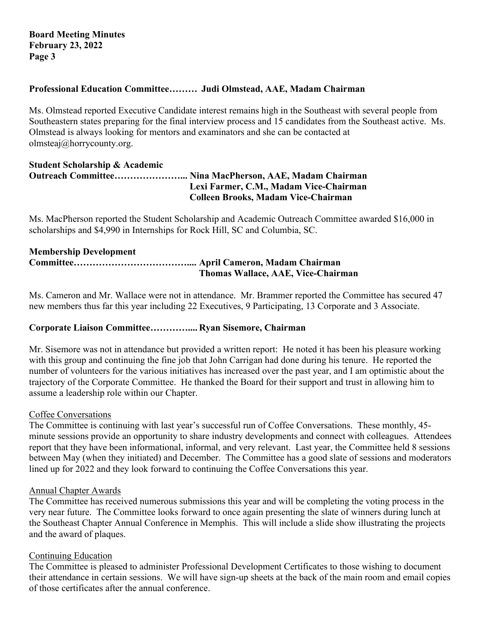### **Professional Education Committee……… Judi Olmstead, AAE, Madam Chairman**

Ms. Olmstead reported Executive Candidate interest remains high in the Southeast with several people from Southeastern states preparing for the final interview process and 15 candidates from the Southeast active. Ms. Olmstead is always looking for mentors and examinators and she can be contacted at olmsteaj@horrycounty.org.

#### **Student Scholarship & Academic Outreach Committee…………………... Nina MacPherson, AAE, Madam Chairman Lexi Farmer, C.M., Madam Vice-Chairman Colleen Brooks, Madam Vice-Chairman**

Ms. MacPherson reported the Student Scholarship and Academic Outreach Committee awarded \$16,000 in scholarships and \$4,990 in Internships for Rock Hill, SC and Columbia, SC.

### **Membership Development Committee……………………………….... April Cameron, Madam Chairman Thomas Wallace, AAE, Vice-Chairman**

Ms. Cameron and Mr. Wallace were not in attendance. Mr. Brammer reported the Committee has secured 47 new members thus far this year including 22 Executives, 9 Participating, 13 Corporate and 3 Associate.

#### **Corporate Liaison Committee………….... Ryan Sisemore, Chairman**

Mr. Sisemore was not in attendance but provided a written report: He noted it has been his pleasure working with this group and continuing the fine job that John Carrigan had done during his tenure. He reported the number of volunteers for the various initiatives has increased over the past year, and I am optimistic about the trajectory of the Corporate Committee. He thanked the Board for their support and trust in allowing him to assume a leadership role within our Chapter.

#### Coffee Conversations

The Committee is continuing with last year's successful run of Coffee Conversations. These monthly, 45 minute sessions provide an opportunity to share industry developments and connect with colleagues. Attendees report that they have been informational, informal, and very relevant. Last year, the Committee held 8 sessions between May (when they initiated) and December. The Committee has a good slate of sessions and moderators lined up for 2022 and they look forward to continuing the Coffee Conversations this year.

#### Annual Chapter Awards

The Committee has received numerous submissions this year and will be completing the voting process in the very near future. The Committee looks forward to once again presenting the slate of winners during lunch at the Southeast Chapter Annual Conference in Memphis. This will include a slide show illustrating the projects and the award of plaques.

#### Continuing Education

The Committee is pleased to administer Professional Development Certificates to those wishing to document their attendance in certain sessions. We will have sign-up sheets at the back of the main room and email copies of those certificates after the annual conference.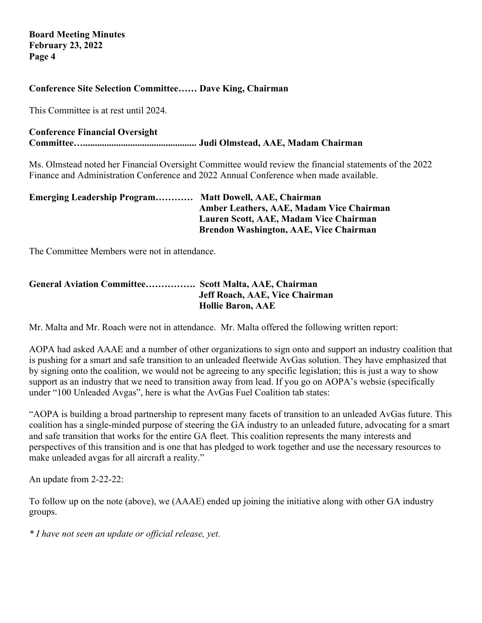### **Conference Site Selection Committee…… Dave King, Chairman**

This Committee is at rest until 2024.

# **Conference Financial Oversight**

**Committee…................................................ Judi Olmstead, AAE, Madam Chairman**

Ms. Olmstead noted her Financial Oversight Committee would review the financial statements of the 2022 Finance and Administration Conference and 2022 Annual Conference when made available.

| <b>Emerging Leadership Program Matt Dowell, AAE, Chairman</b> |                                               |
|---------------------------------------------------------------|-----------------------------------------------|
|                                                               | Amber Leathers, AAE, Madam Vice Chairman      |
|                                                               | Lauren Scott, AAE, Madam Vice Chairman        |
|                                                               | <b>Brendon Washington, AAE, Vice Chairman</b> |

The Committee Members were not in attendance.

### **General Aviation Committee……………. Scott Malta, AAE, Chairman Jeff Roach, AAE, Vice Chairman Hollie Baron, AAE**

Mr. Malta and Mr. Roach were not in attendance. Mr. Malta offered the following written report:

AOPA had asked AAAE and a number of other organizations to sign onto and support an industry coalition that is pushing for a smart and safe transition to an unleaded fleetwide AvGas solution. They have emphasized that by signing onto the coalition, we would not be agreeing to any specific legislation; this is just a way to show support as an industry that we need to transition away from lead. If you go on AOPA's websie (specifically under "100 Unleaded Avgas", here is what the AvGas Fuel Coalition tab states:

"AOPA is building a broad partnership to represent many facets of transition to an unleaded AvGas future. This coalition has a single-minded purpose of steering the GA industry to an unleaded future, advocating for a smart and safe transition that works for the entire GA fleet. This coalition represents the many interests and perspectives of this transition and is one that has pledged to work together and use the necessary resources to make unleaded avgas for all aircraft a reality."

An update from 2-22-22:

To follow up on the note (above), we (AAAE) ended up joining the initiative along with other GA industry groups.

*\* I have not seen an update or official release, yet.*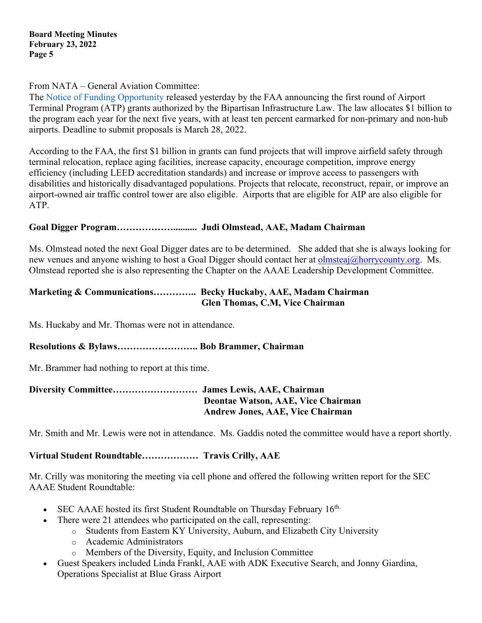From NATA – General Aviation Committee:

The Notice of Funding Opportunity released yesterday by the FAA announcing the first round of Airport Terminal Program (ATP) grants authorized by the Bipartisan Infrastructure Law. The law allocates \$1 billion to the program each year for the next five years, with at least ten percent earmarked for non-primary and non-hub airports. Deadline to submit proposals is March 28, 2022.

According to the FAA, the first \$1 billion in grants can fund projects that will improve airfield safety through terminal relocation, replace aging facilities, increase capacity, encourage competition, improve energy efficiency (including LEED accreditation standards) and increase or improve access to passengers with disabilities and historically disadvantaged populations. Projects that relocate, reconstruct, repair, or improve an airport-owned air traffic control tower are also eligible. Airports that are eligible for AIP are also eligible for ATP.

# **Goal Digger Program……………….......... Judi Olmstead, AAE, Madam Chairman**

Ms. Olmstead noted the next Goal Digger dates are to be determined. She added that she is always looking for new venues and anyone wishing to host a Goal Digger should contact her at **olmsteaj@horrycounty.org.** Ms. Olmstead reported she is also representing the Chapter on the AAAE Leadership Development Committee.

# **Marketing & Communications………….. Becky Huckaby, AAE, Madam Chairman Glen Thomas, C.M, Vice Chairman**

Ms. Huckaby and Mr. Thomas were not in attendance.

# **Resolutions & Bylaws…………………….. Bob Brammer, Chairman**

Mr. Brammer had nothing to report at this time.

# **Diversity Committee……………………… James Lewis, AAE, Chairman Deontae Watson, AAE, Vice Chairman Andrew Jones, AAE, Vice Chairman**

Mr. Smith and Mr. Lewis were not in attendance. Ms. Gaddis noted the committee would have a report shortly.

# **Virtual Student Roundtable……………… Travis Crilly, AAE**

Mr. Crilly was monitoring the meeting via cell phone and offered the following written report for the SEC AAAE Student Roundtable:

- SEC AAAE hosted its first Student Roundtable on Thursday February 16<sup>th.</sup>
- There were 21 attendees who participated on the call, representing:
	- o Students from Eastern KY University, Auburn, and Elizabeth City University
	- o Academic Administrators
	- o Members of the Diversity, Equity, and Inclusion Committee
- Guest Speakers included Linda Frankl, AAE with ADK Executive Search, and Jonny Giardina, Operations Specialist at Blue Grass Airport